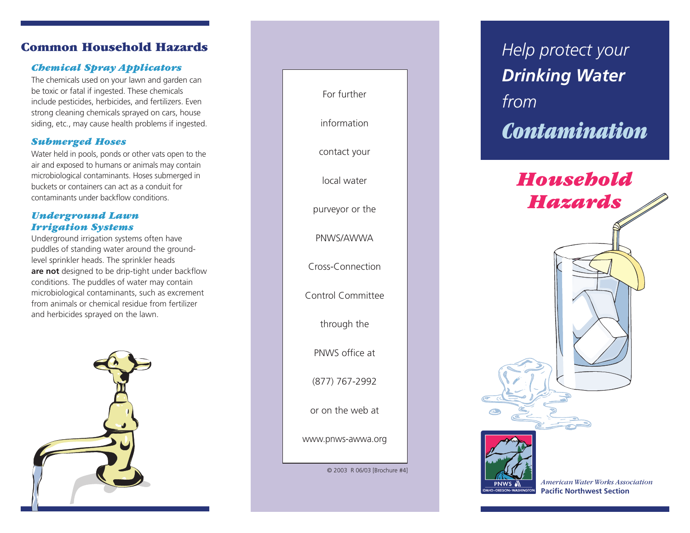# **Common Household Hazards**

### *Chemical Spray Applicators*

The chemicals used on your lawn and garden can be toxic or fatal if ingested. These chemicals include pesticides, herbicides, and fertilizers. Even strong cleaning chemicals sprayed on cars, house siding, etc., may cause health problems if ingested.

### *Submerged Hoses*

Water held in pools, ponds or other vats open to the air and exposed to humans or animals may contain microbiological contaminants. Hoses submerged in buckets or containers can act as a conduit for contaminants under backflow conditions.

### *Underground Lawn Irrigation Systems*

Underground irrigation systems often have puddles of standing water around the groundlevel sprinkler heads. The sprinkler heads **are not** designed to be drip-tight under backflow conditions. The puddles of water may contain microbiological contaminants, such as excrement from animals or chemical residue from fertilizer and herbicides sprayed on the lawn.





*Help protect your Drinking Water from Contamination*